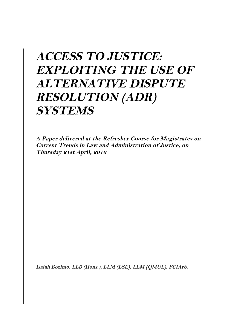# **ACCESS TO JUSTICE: EXPLOITING THE USE OF ALTERNATIVE DISPUTE RESOLUTION (ADR) SYSTEMS**

**A Paper delivered at the Refresher Course for Magistrates on Current Trends in Law and Administration of Justice, on Thursday 21st April, 2016**

**Isaiah Bozimo, LLB (Hons.), LLM (LSE), LLM (QMUL), FCIArb.**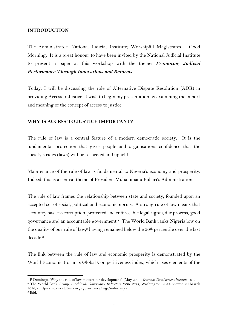#### **INTRODUCTION**

The Administrator, National Judicial Institute; Worshipful Magistrates – Good Morning. It is a great honour to have been invited by the National Judicial Institute to present a paper at this workshop with the theme: **Promoting Judicial Performance Through Innovations and Reforms**.

Today, I will be discussing the role of Alternative Dispute Resolution (ADR) in providing Access to Justice. I wish to begin my presentation by examining the import and meaning of the concept of access to justice.

#### **WHY IS ACCESS TO JUSTICE IMPORTANT?**

The rule of law is a central feature of a modern democratic society. It is the fundamental protection that gives people and organisations confidence that the society's rules (laws) will be respected and upheld.

Maintenance of the rule of law is fundamental to Nigeria's economy and prosperity. Indeed, this is a central theme of President Muhammadu Buhari's Administration.

The rule of law frames the relationship between state and society, founded upon an accepted set of social, political and economic norms. A strong rule of law means that a country has less corruption, protected and enforceable legal rights, due process, good governance and an accountable government.1 The World Bank ranks Nigeria low on the quality of our rule of law,<sup>2</sup> having remained below the  $30<sup>th</sup>$  percentile over the last decade.3

The link between the rule of law and economic prosperity is demonstrated by the World Economic Forum's Global Competitiveness index, which uses elements of the

 

<sup>1</sup> P Domingo, 'Why the rule of law matters for development', (May 2009) *Overseas Development Institute* 131. 2 The World Bank Group, *Worldwide Governance Indicators 1996–2014*, Washington, 2014, viewed 26 March

<sup>2016, &</sup>lt;http://info.worldbank.org/governance/wgi/index.asp>.

<sup>3</sup> Ibid.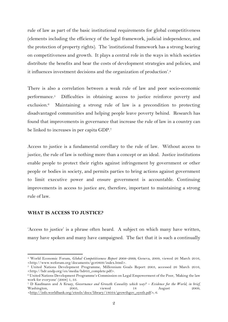rule of law as part of the basic institutional requirements for global competitiveness (elements including the efficiency of the legal framework, judicial independence, and the protection of property rights). The 'institutional framework has a strong bearing on competitiveness and growth. It plays a central role in the ways in which societies distribute the benefits and bear the costs of development strategies and policies, and it influences investment decisions and the organization of production'.4

There is also a correlation between a weak rule of law and poor socio-economic performance.5 Difficulties in obtaining access to justice reinforce poverty and exclusion.6 Maintaining a strong rule of law is a precondition to protecting disadvantaged communities and helping people leave poverty behind. Research has found that improvements in governance that increase the rule of law in a country can be linked to increases in per capita GDP.7

Access to justice is a fundamental corollary to the rule of law. Without access to justice, the rule of law is nothing more than a concept or an ideal. Justice institutions enable people to protect their rights against infringement by government or other people or bodies in society, and permits parties to bring actions against government to limit executive power and ensure government is accountable. Continuing improvements in access to justice are, therefore, important to maintaining a strong rule of law.

#### **WHAT IS ACCESS TO JUSTICE?**

 

'Access to justice' is a phrase often heard. A subject on which many have written, many have spoken and many have campaigned. The fact that it is such a continually

<sup>4</sup> World Economic Forum, *Global Competitiveness Report 2008–2009,* Geneva, 2009, viewed 26 March 2016, <http://www.weforum.org/documents/gcr0809/index.html>.

<sup>5</sup> United Nations Development Programme, Millennium Goals Report 2003, accessed 26 March 2016, <http://hdr.undp.org/en/media/hdr03\_complete.pdf>.

<sup>6</sup> United Nations Development Programme's Commission on Legal Empowerment of the Poor, 'Making the law work for everyone' (2008) 1, 33.

<sup>7</sup> D Kaufmann and A Kraay, *Governance and Growth: Causality which way? – Evidence for the World, in brief,*  Washington, 2003, viewed 18 August 2009, *<*http://info.worldbank.org/etools/docs/library/18034/growthgov\_synth.pdf*>*, 6.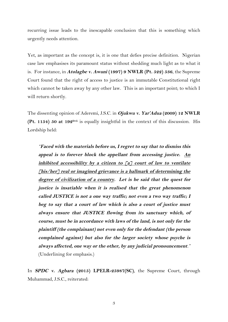recurring issue leads to the inescapable conclusion that this is something which urgently needs attention.

Yet, as important as the concept is, it is one that defies precise definition. Nigerian case law emphasises its paramount status without shedding much light as to what it is. For instance, in **Atolagbe v. Awuni (1997) 9 NWLR (Pt. 522) 536**, the Supreme Court found that the right of access to justice is an immutable Constitutional right which cannot be taken away by any other law. This is an important point; to which I will return shortly.

The dissenting opinion of Aderemi, J.S.C. in **Ojukwu v. Yar'Adua (2009) 12 NWLR (Pt. 1154) 50 at 192D-G** is equally insightful in the context of this discussion. His Lordship held:

*"***Faced with the materials before us, I regret to say that to dismiss this appeal is to forever block the appellant from accessing justice. An inhibited accessibility by a citizen to [a] court of law to ventilate [his/her] real or imagined grievance is a hallmark of determining the degree of civilization of a country. Let is be said that the quest for justice is insatiable when it is realised that the great phenomenon called JUSTICE is not a one way traffic; not even a two way traffic; I beg to say that a court of law which is also a court of justice must always ensure that JUSTICE flowing from its sanctuary which, of course, must be in accordance with laws of the land, is not only for the plaintiff (the complainant) not even only for the defendant (the person complained against) but also for the larger society whose psyche is always affected, one way or the other, by any judicial pronouncement***."* (Underlining for emphasis.)

In **SPDC v. Agbara (2015) LPELR-25987(SC)**, the Supreme Court, through Muhammad, J.S.C., reiterated: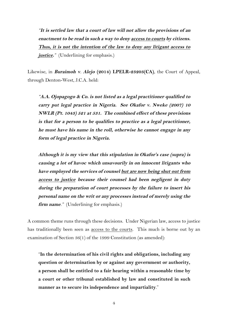*"***It is settled law that a court of law will not allow the provisions of an enactment to be read in such a way to deny access to courts by citizens. Thus, it is not the intention of the law to deny any litigant access to**  *justice.*" (Underlining for emphasis.)

Likewise, in **Buraimoh v***.* **Alejo (2014) LPELR-23203(CA)**, the Court of Appeal, through Denton-West, J.C.A. held:

*"***A.A. Ojopagogo & Co. is not listed as a legal practitioner qualified to carry put legal practice in Nigeria. See Okafor v. Nweke (2007) 10 NWLR (Pt. 1043) 521 at 531. The combined effect of these provisions is that for a person to be qualifies to practice as a legal practitioner, he must have his name in the roll, otherwise he cannot engage in any form of legal practice in Nigeria.**

**Although it is my view that this stipulation in Okafor's case (supra) is causing a lot of havoc which unsavourily in on innocent litigants who have employed the services of counsel but are now being shut out from access to justice because their counsel had been negligent in duty during the preparation of court processes by the failure to insert his personal name on the writ or any processes instead of merely using the firm name***."* (Underlining for emphasis.)

A common theme runs through these decisions. Under Nigerian law, access to justice has traditionally been seen as access to the courts. This much is borne out by an examination of Section 36(1) of the 1999 Constitution (as amended):

"**In the determination of his civil rights and obligations, including any question or determination by or against any government or authority, a person shall be entitled to a fair hearing within a reasonable time by a court or other tribunal established by law and constituted in such manner as to secure its independence and impartiality**."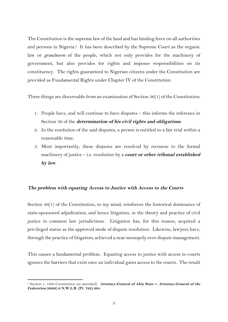The Constitution is the supreme law of the land and has binding force on all authorities and persons in Nigeria.<sup>8</sup> It has been described by the Supreme Court as the organic law or *grundnorm* of the people, which not only provides for the machinery of government, but also provides for rights and imposes responsibilities on its constituency. The rights guaranteed to Nigerian citizens under the Constitution are provided as Fundamental Rights under Chapter IV of the Constitution.

Three things are discernable from an examination of Section 36(1) of the Constitution:

- 1. People have, and will continue to have disputes this informs the reference in Section 36 of the **determination of his civil rights and obligations**.
- 2. In the resolution of the said disputes, a person is entitled to a fair trial within a reasonable time.
- 3. Most importantly, these disputes are resolved by recourse to the formal machinery of justice – i.e. resolution by a **court or other tribunal established by law**.

#### **The problem with equating Access to Justice with Access to the Courts**

Section 36(1) of the Constitution, to my mind, reinforces the historical dominance of state-sponsored adjudication, and hence litigation, in the theory and practice of civil justice in common law jurisdictions. Litigation has, for this reason, acquired a privileged status as the approved mode of dispute resolution. Likewise, lawyers have, through the practice of litigation, achieved a near monopoly over dispute management.

This causes a fundamental problem. Equating access to justice with access to courts ignores the barriers that exist once an individual gains access to the courts. The result

 

<sup>8</sup> Section 1, 1999 Constitution (as amended). **Attorney-General of Abia State v. Attorney-General of the Federation (2002) 6 N.W.L.R. (Pt. 763) 264**.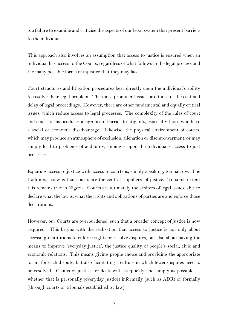is a failure to examine and criticise the aspects of our legal system that present barriers to the individual.

This approach also involves an assumption that access to justice is ensured when an individual has access to the Courts, regardless of what follows in the legal process and the many possible forms of injustice that they may face.

Court structures and litigation procedures bear directly upon the individual's ability to resolve their legal problem. The more prominent issues are those of the cost and delay of legal proceedings. However, there are other fundamental and equally critical issues, which reduce access to legal processes. The complexity of the rules of court and court forms produces a significant barrier to litigants, especially those who have a social or economic disadvantage. Likewise, the physical environment of courts, which may produce an atmosphere of exclusion, alienation or disempowerment, or may simply lead to problems of audibility, impinges upon the individual's access to just processes.

Equating access to justice with access to courts is, simply speaking, too narrow. The traditional view is that courts are the central 'suppliers' of justice. To some extent this remains true in Nigeria. Courts are ultimately the arbiters of legal issues, able to declare what the law is, what the rights and obligations of parties are and enforce those declarations.

However, our Courts are overburdened, such that a broader concept of justice is now required. This begins with the realisation that access to justice is not only about accessing institutions to enforce rights or resolve disputes, but also about having the means to improve 'everyday justice'; the justice quality of people's social, civic and economic relations. This means giving people choice and providing the appropriate forum for each dispute, but also facilitating a culture in which fewer disputes need to be resolved. Claims of justice are dealt with as quickly and simply as possible whether that is personally (everyday justice) informally (such as ADR) or formally (through courts or tribunals established by law).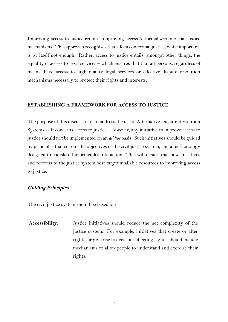Improving access to justice requires improving access to formal *and* informal justice mechanisms. This approach recognises that a focus on formal justice, while important, is by itself not enough. Rather, access to justice entails, amongst other things, the equality of access to legal services – which ensures that that all persons, regardless of means, have access to high quality legal services or effective dispute resolution mechanisms necessary to protect their rights and interests.

#### **ESTABLISHING A FRAMEWORK FOR ACCESS TO JUSTICE**

The purpose of this discussion is to address the use of Alternative Dispute Resolution Systems as it concerns access to justice. However, any initiative to improve access to justice should not be implemented on an *ad hoc* basis. Such initiatives should be guided by principles that set out the objectives of the civil justice system, and a methodology designed to translate the principles into action. This will ensure that new initiatives and reforms to the justice system best target available resources to improving access to justice.

#### **Guiding Principles:**

The civil justice system should be based on:

**Accessibility:** Justice initiatives should reduce the net complexity of the justice system. For example, initiatives that create or alter rights, or give rise to decisions affecting rights, should include mechanisms to allow people to understand and exercise their rights.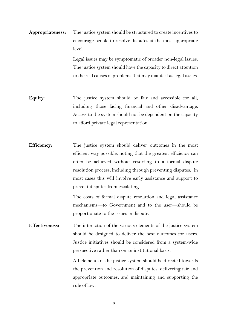**Appropriateness:** The justice system should be structured to create incentives to encourage people to resolve disputes at the most appropriate level.

> Legal issues may be symptomatic of broader non-legal issues. The justice system should have the capacity to direct attention to the real causes of problems that may manifest as legal issues.

- **Equity:** The justice system should be fair and accessible for all, including those facing financial and other disadvantage. Access to the system should not be dependent on the capacity to afford private legal representation.
- **Efficiency:** The justice system should deliver outcomes in the most efficient way possible, noting that the greatest efficiency can often be achieved without resorting to a formal dispute resolution process, including through preventing disputes. In most cases this will involve early assistance and support to prevent disputes from escalating.

The costs of formal dispute resolution and legal assistance mechanisms—to Government and to the user—should be proportionate to the issues in dispute.

**Effectiveness:** The interaction of the various elements of the justice system should be designed to deliver the best outcomes for users. Justice initiatives should be considered from a system-wide perspective rather than on an institutional basis.

> All elements of the justice system should be directed towards the prevention and resolution of disputes, delivering fair and appropriate outcomes, and maintaining and supporting the rule of law.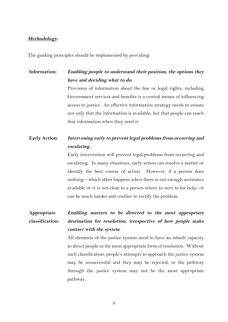#### **Methodology:**

The guiding principles should be implemented by providing:

**Information: Enabling people to understand their position, the options they have and deciding what to do.** Provision of information about the law or legal rights, including

Government services and benefits is a central means of influencing access to justice. An effective information strategy needs to ensure not only that the information is available, but that people can reach that information when they need it.

# **Early Action: Intervening early to prevent legal problems from occurring and escalating.**

Early intervention will prevent legal problems from occurring and escalating. In many situations, early action can resolve a matter or identify the best course of action. However, if a person does nothing—which often happens when there is not enough assistance available or it is not clear to a person where to turn to for help—it can be much harder and costlier to rectify the problem.

#### **Appropriate classification: Enabling matters to be directed to the most appropriate destination for resolution, irrespective of how people make contact with the system**.

All elements of the justice system need to have an inbuilt capacity to direct people to the most appropriate form of resolution. Without such classification, people's attempts to approach the justice system may be unsuccessful and they may be rejected; or the pathway through the justice system may not be the most appropriate pathway.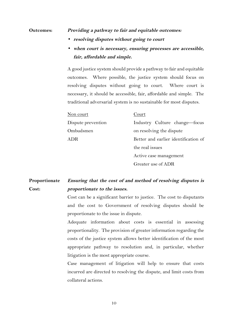#### **Outcomes: Providing a pathway to fair and equitable outcomes:**

- **resolving disputes without going to court**
- **when court is necessary, ensuring processes are accessible, fair, affordable and simple.**

A good justice system should provide a pathway to fair and equitable outcomes. Where possible, the justice system should focus on resolving disputes without going to court. Where court is necessary, it should be accessible, fair, affordable and simple. The traditional adversarial system is no sustainable for most disputes.

| Non court          | Court                                |
|--------------------|--------------------------------------|
| Dispute prevention | Industry Culture change-focus        |
| Ombudsmen          | on resolving the dispute             |
| ADR                | Better and earlier identification of |
|                    | the real issues                      |
|                    | Active case management               |

Greater use of ADR

#### **Proportionate Cost: Ensuring that the cost of and method of resolving disputes is proportionate to the issues.**

Cost can be a significant barrier to justice. The cost to disputants and the cost to Government of resolving disputes should be proportionate to the issue in dispute.

Adequate information about costs is essential in assessing proportionality. The provision of greater information regarding the costs of the justice system allows better identification of the most appropriate pathway to resolution and, in particular, whether litigation is the most appropriate course.

Case management of litigation will help to ensure that costs incurred are directed to resolving the dispute, and limit costs from collateral actions.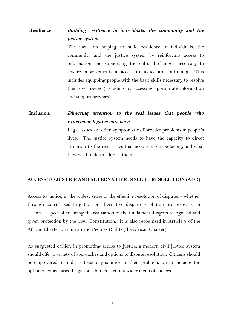# **Resilience: Building resilience in individuals, the community and the justice system.**

The focus on helping to build resilience in individuals, the community and the justice system by reinforcing access to information and supporting the cultural changes necessary to ensure improvements in access to justice are continuing. This includes equipping people with the basic skills necessary to resolve their own issues (including by accessing appropriate information and support services).

**Inclusion: Directing attention to the real issues that people who experience legal events have.**

> Legal issues are often symptomatic of broader problems in people's lives. The justice system needs to have the capacity to direct attention to the real issues that people might be facing, and what they need to do to address them.

#### **ACCESS TO JUSTICE AND ALTERNATIVE DISPUTE RESOLUTION (ADR)**

Access to justice, in the widest sense of the effective resolution of disputes - whether through court-based litigation or alternative dispute resolution processes, is an essential aspect of ensuring the realisation of the fundamental rights recognised and given protection by the 1999 Constitution. It is also recognised in Article 7 of the African Charter on Human and Peoples Rights (the African Charter).

As suggested earlier, in promoting access to justice, a modern civil justice system should offer a variety of approaches and options to dispute resolution. Citizens should be empowered to find a satisfactory solution to their problem, which includes the option of court-based litigation - but as part of a wider menu of choices.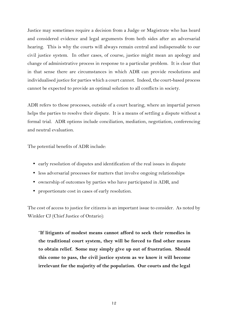Justice may sometimes require a decision from a Judge or Magistrate who has heard and considered evidence and legal arguments from both sides after an adversarial hearing. This is why the courts will always remain central and indispensable to our civil justice system. In other cases, of course, justice might mean an apology and change of administrative process in response to a particular problem. It is clear that in that sense there are circumstances in which ADR can provide resolutions and individualised justice for parties which a court cannot. Indeed, the court-based process cannot be expected to provide an optimal solution to all conflicts in society.

ADR refers to those processes, outside of a court hearing, where an impartial person helps the parties to resolve their dispute. It is a means of settling a dispute without a formal trial. ADR options include conciliation, mediation, negotiation, conferencing and neutral evaluation.

The potential benefits of ADR include:

- early resolution of disputes and identification of the real issues in dispute
- less adversarial processes for matters that involve ongoing relationships
- ownership of outcomes by parties who have participated in ADR, and
- proportionate cost in cases of early resolution.

The cost of access to justice for citizens is an important issue to consider. As noted by Winkler CJ (Chief Justice of Ontario):

"**If litigants of modest means cannot afford to seek their remedies in the traditional court system, they will be forced to find other means to obtain relief. Some may simply give up out of frustration. Should this come to pass, the civil justice system as we know it will become irrelevant for the majority of the population. Our courts and the legal**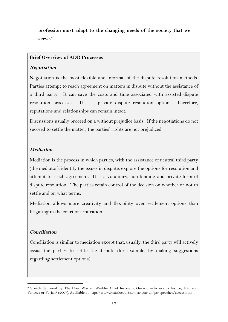**profession must adapt to the changing needs of the society that we serve.**"9

### **Brief Overview of ADR Processes**

## **Negotiation**

Negotiation is the most flexible and informal of the dispute resolution methods. Parties attempt to reach agreement on matters in dispute without the assistance of a third party. It can save the costs and time associated with assisted dispute resolution processes. It is a private dispute resolution option. Therefore, reputations and relationships can remain intact.

Discussions usually proceed on a without prejudice basis. If the negotiations do not succeed to settle the matter, the parties' rights are not prejudiced.

## **Mediation**

Mediation is the process in which parties, with the assistance of neutral third party (the mediator), identify the issues in dispute, explore the options for resolution and attempt to reach agreement. It is a voluntary, non-binding and private form of dispute resolution. The parties retain control of the decision on whether or not to settle and on what terms.

Mediation allows more creativity and flexibility over settlement options than litigating in the court or arbitration.

## **Conciliation**

 

Conciliation is similar to mediation except that, usually, the third party will actively assist the parties to settle the dispute (for example, by making suggestions regarding settlement options).

<sup>9</sup> Speech delivered by The Hon. Warren Winkler Chief Justice of Ontario ―Access to Justice, Mediation: Panacea or Pariah? (2007). Available at http://www.ontariocourts.on.ca/coa/en/ps/speeches/access.htm.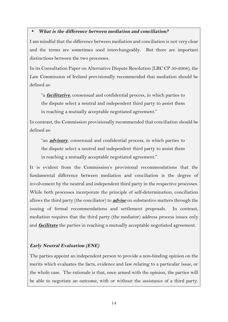## • **What is the difference between mediation and conciliation?**

I am mindful that the difference between mediation and conciliation is not very clear and the terms are sometimes used interchangeably. But there are important distinctions between the two processes.

In its Consultation Paper on Alternative Dispute Resolution (LRC CP 50-2008), the Law Commission of Ireland provisionally recommended that mediation should be defined as:

"a **facilitative**, consensual and confidential process, in which parties to the dispute select a neutral and independent third party to assist them in reaching a mutually acceptable negotiated agreement."

In contrast, the Commission provisionally recommended that conciliation should be defined as:

"an **advisory**, consensual and confidential process, in which parties to the dispute select a neutral and independent third party to assist them in reaching a mutually acceptable negotiated agreement."

It is evident from the Commission's provisional recommendations that the fundamental difference between mediation and conciliation is the degree of involvement by the neutral and independent third party in the respective processes. While both processes incorporate the principle of self-determination, conciliation allows the third party (the conciliator) to **advise** on substantive matters through the issuing of formal recommendations and settlement proposals. In contrast, mediation requires that the third party (the mediator) address process issues only and **facilitate** the parties in reaching a mutually acceptable negotiated agreement.

# **Early Neutral Evaluation (ENE)**

The parties appoint an independent person to provide a non-binding opinion on the merits which evaluates the facts, evidence and law relating to a particular issue, or the whole case. The rationale is that, once armed with the opinion, the parties will be able to negotiate an outcome, with or without the assistance of a third party.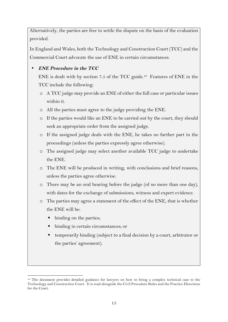Alternatively, the parties are free to settle the dispute on the basis of the evaluation provided.

In England and Wales, both the Technology and Construction Court (TCC) and the Commercial Court advocate the use of ENE in certain circumstances.

# • **ENE Procedure in the TCC**

ENE is dealt with by section 7.5 of the TCC guide. <sup>10</sup> Features of ENE in the TCC include the following:

- o A TCC judge may provide an ENE of either the full case or particular issues within it.
- o All the parties must agree to the judge providing the ENE.
- o If the parties would like an ENE to be carried out by the court, they should seek an appropriate order from the assigned judge.
- o If the assigned judge deals with the ENE, he takes no further part in the proceedings (unless the parties expressly agree otherwise).
- o The assigned judge may select another available TCC judge to undertake the ENE.
- o The ENE will be produced in writing, with conclusions and brief reasons, unless the parties agree otherwise.
- o There may be an oral hearing before the judge (of no more than one day), with dates for the exchange of submissions, witness and expert evidence.
- o The parties may agree a statement of the effect of the ENE, that is whether the ENE will be:
	- binding on the parties;

 

- binding in certain circumstances; or
- § temporarily binding (subject to a final decision by a court, arbitrator or the parties' agreement).

<sup>10</sup> The document provides detailed guidance for lawyers on how to bring a complex technical case to the Technology and Construction Court. It is read alongside the Civil Procedure Rules and the Practice Directions for the Court.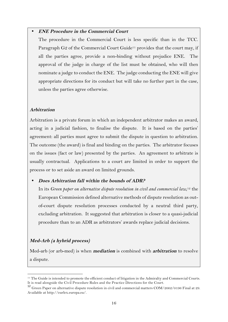### • **ENE Procedure in the Commercial Court**

The procedure in the Commercial Court is less specific than in the TCC. Paragraph G2 of the Commercial Court Guide<sup>11</sup> provides that the court may, if all the parties agree, provide a non-binding without prejudice ENE. The approval of the judge in charge of the list must be obtained, who will then nominate a judge to conduct the ENE. The judge conducting the ENE will give appropriate directions for its conduct but will take no further part in the case, unless the parties agree otherwise.

## **Arbitration**

Arbitration is a private forum in which an independent arbitrator makes an award, acting in a judicial fashion, to finalise the dispute. It is based on the parties' agreement: all parties must agree to submit the dispute in question to arbitration. The outcome (the award) is final and binding on the parties. The arbitrator focuses on the issues (fact or law) presented by the parties. An agreement to arbitrate is usually contractual. Applications to a court are limited in order to support the process or to set aside an award on limited grounds.

## • **Does Arbitration fall within the bounds of ADR?**

In its *Green paper on alternative dispute resolution in civil and commercial law*, <sup>12</sup> the European Commission defined alternative methods of dispute resolution as outof-court dispute resolution processes conducted by a neutral third party, excluding arbitration. It suggested that arbitration is closer to a quasi-judicial procedure than to an ADR as arbitrators' awards replace judicial decisions.

## **Med-Arb (a hybrid process)**

Med-arb (or arb-med) is when **mediation** is combined with **arbitration** to resolve a dispute.

 <sup>11</sup> The Guide is intended to promote the efficient conduct of litigation in the Admiralty and Commercial Courts. It is read alongside the Civil Procedure Rules and the Practice Directions for the Court.

<sup>12</sup> Green Paper on alternative dispute resolution in civil and commercial matters COM/2002/0196 Final at 29. Available at http://eurlex.europa.eu/.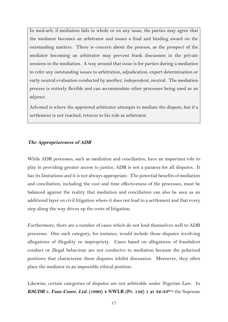In med-arb, if mediation fails in whole or on any issue, the parties may agree that the mediator becomes an arbitrator and issues a final and binding award on the outstanding matters. There is concern about the process, as the prospect of the mediator becoming an arbitrator may prevent frank discussion in the private sessions in the mediation. A way around that issue is for parties during a mediation to refer any outstanding issues to arbitration, adjudication, expert determination or early neutral evaluation conducted by another, independent, neutral. The mediation process is entirely flexible and can accommodate other processes being used as an adjunct.

Arb-med is where the appointed arbitrator attempts to mediate the dispute, but if a settlement is not reached, returns to his role as arbitrator.

#### **The Appropriateness of ADR**

While ADR processes, such as mediation and conciliation, have an important role to play in providing greater access to justice, ADR is not a panacea for all disputes. It has its limitations and it is not always appropriate. The potential benefits of mediation and conciliation, including the cost and time effectiveness of the processes, must be balanced against the reality that mediation and conciliation can also be seen as an additional layer on civil litigation where it does not lead to a settlement and that every step along the way drives up the costs of litigation.

Furthermore, there are a number of cases which do not lend themselves well to ADR processes. One such category, for instance, would include those disputes involving allegations of illegality or impropriety. Cases based on allegations of fraudulent conduct or illegal behaviour are not conducive to mediation because the polarized positions that characterise these disputes inhibit discussion. Moreover, they often place the mediator in an impossible ethical position.

Likewise, certain categories of disputes are not arbitrable under Nigerian Law. In **KSUDB v. Fanz Const. Ltd. (1990) 4 NWLR (Pt. 142) 1 at 32-33H-A**, the Supreme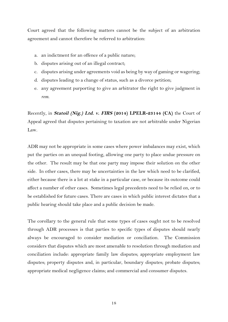Court agreed that the following matters cannot be the subject of an arbitration agreement and cannot therefore be referred to arbitration:

- a. an indictment for an offence of a public nature;
- b. disputes arising out of an illegal contract;
- c. disputes arising under agreements void as being by way of gaming or wagering;
- d. disputes leading to a change of status, such as a divorce petition;
- e. any agreement purporting to give an arbitrator the right to give judgment in *rem*.

Recently, in **Statoil (Nig.) Ltd. v. FIRS (2014) LPELR-23144 (CA)** the Court of Appeal agreed that disputes pertaining to taxation are not arbitrable under Nigerian Law.

ADR may not be appropriate in some cases where power imbalances may exist, which put the parties on an unequal footing, allowing one party to place undue pressure on the other. The result may be that one party may impose their solution on the other side. In other cases, there may be uncertainties in the law which need to be clarified, either because there is a lot at stake in a particular case, or because its outcome could affect a number of other cases. Sometimes legal precedents need to be relied on, or to be established for future cases. There are cases in which public interest dictates that a public hearing should take place and a public decision be made.

The corollary to the general rule that some types of cases ought not to be resolved through ADR processes is that parties to specific types of disputes should nearly always be encouraged to consider mediation or conciliation. The Commission considers that disputes which are most amenable to resolution through mediation and conciliation include: appropriate family law disputes; appropriate employment law disputes; property disputes and, in particular, boundary disputes; probate disputes; appropriate medical negligence claims; and commercial and consumer disputes.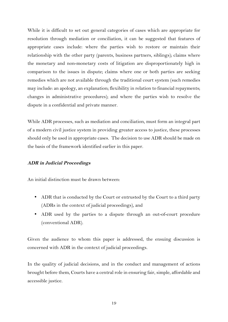While it is difficult to set out general categories of cases which are appropriate for resolution through mediation or conciliation, it can be suggested that features of appropriate cases include: where the parties wish to restore or maintain their relationship with the other party (parents, business partners, siblings); claims where the monetary and non-monetary costs of litigation are disproportionately high in comparison to the issues in dispute; claims where one or both parties are seeking remedies which are not available through the traditional court system (such remedies may include: an apology, an explanation; flexibility in relation to financial repayments; changes in administrative procedures); and where the parties wish to resolve the dispute in a confidential and private manner.

While ADR processes, such as mediation and conciliation, must form an integral part of a modern civil justice system in providing greater access to justice, these processes should only be used in appropriate cases. The decision to use ADR should be made on the basis of the framework identified earlier in this paper.

#### **ADR in Judicial Proceedings**

An initial distinction must be drawn between:

- ADR that is conducted by the Court or entrusted by the Court to a third party (ADRs in the context of judicial proceedings), and
- ADR used by the parties to a dispute through an out-of-court procedure (conventional ADR).

Given the audience to whom this paper is addressed, the ensuing discussion is concerned with ADR in the context of judicial proceedings.

In the quality of judicial decisions, and in the conduct and management of actions brought before them, Courts have a central role in ensuring fair, simple, affordable and accessible justice.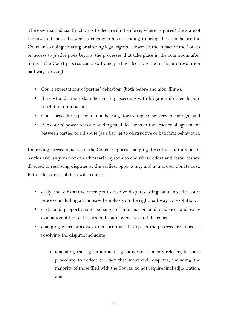The essential judicial function is to declare (and enforce, where required) the state of the law in disputes between parties who have standing to bring the issue before the Court, in so doing creating or altering legal rights. However, the impact of the Courts on access to justice goes beyond the processes that take place in the courtroom after filing. The Court process can also frame parties' decisions about dispute resolution pathways through:

- Court expectations of parties' behaviour (both before and after filing);
- the cost and time risks inherent in proceeding with litigation if other dispute resolution options fail;
- Court procedures prior to final hearing (for example discovery, pleadings), and
- the courts' power to issue binding final decisions in the absence of agreement between parties to a dispute (as a barrier to obstructive or bad faith behaviour).

Improving access to justice in the Courts requires changing the culture of the Courts, parties and lawyers from an adversarial system to one where effort and resources are directed to resolving disputes at the earliest opportunity and at a proportionate cost. Better dispute resolution will require:

- early and substantive attempts to resolve disputes being built into the court process, including an increased emphasis on the right pathway to resolution;
- early and proportionate exchange of information and evidence, and early evaluation of the real issues in dispute by parties and the court;
- changing court processes to ensure that all steps in the process are aimed at resolving the dispute, including:
	- o amending the legislation and legislative instruments relating to court procedure to reflect the fact that most civil disputes, including the majority of those filed with the Courts, do not require final adjudication, and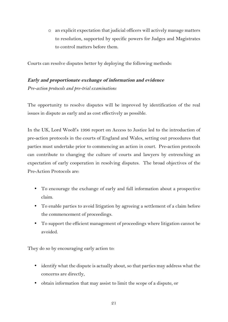o an explicit expectation that judicial officers will actively manage matters to resolution, supported by specific powers for Judges and Magistrates to control matters before them.

Courts can resolve disputes better by deploying the following methods:

## **Early and proportionate exchange of information and evidence**

*Pre-action protocols and pre-trial examinations*

The opportunity to resolve disputes will be improved by identification of the real issues in dispute as early and as cost effectively as possible.

In the UK, Lord Woolf's 1996 report on Access to Justice led to the introduction of pre-action protocols in the courts of England and Wales, setting out procedures that parties must undertake prior to commencing an action in court. Pre-action protocols can contribute to changing the culture of courts and lawyers by entrenching an expectation of early cooperation in resolving disputes. The broad objectives of the Pre-Action Protocols are:

- To encourage the exchange of early and full information about a prospective claim.
- To enable parties to avoid litigation by agreeing a settlement of a claim before the commencement of proceedings.
- To support the efficient management of proceedings where litigation cannot be avoided.

They do so by encouraging early action to:

- identify what the dispute is actually about, so that parties may address what the concerns are directly,
- obtain information that may assist to limit the scope of a dispute, or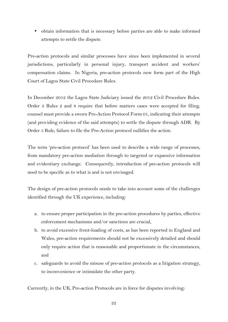• obtain information that is necessary before parties are able to make informed attempts to settle the dispute.

Pre-action protocols and similar processes have since been implemented in several jurisdictions, particularly in personal injury, transport accident and workers' compensation claims. In Nigeria, pre-action protocols now form part of the High Court of Lagos State Civil Procedure Rules.

In December 2012 the Lagos State Judiciary issued the 2012 Civil Procedure Rules. Order 3 Rules 2 and 8 require that before matters cases were accepted for filing, counsel must provide a sworn Pre-Action Protocol Form 01, indicating their attempts (and providing evidence of the said attempts) to settle the dispute through ADR. By Order 5 Rule, failure to file the Pre-Action protocol nullifies the action.

The term 'pre-action protocol' has been used to describe a wide range of processes, from mandatory pre-action mediation through to targeted or expansive information and evidentiary exchange. Consequently, introduction of pre-action protocols will need to be specific as to what is and is not envisaged.

The design of pre-action protocols needs to take into account some of the challenges identified through the UK experience, including:

- a. to ensure proper participation in the pre-action procedures by parties, effective enforcement mechanisms and/or sanctions are crucial,
- b. to avoid excessive front-loading of costs, as has been reported in England and Wales, pre-action requirements should not be excessively detailed and should only require action that is reasonable and proportionate in the circumstances, and
- c. safeguards to avoid the misuse of pre-action protocols as a litigation strategy, to inconvenience or intimidate the other party.

Currently, in the UK, Pre-action Protocols are in force for disputes involving: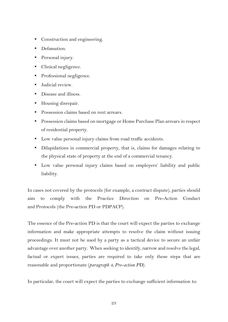- Construction and engineering.
- Defamation.
- Personal injury.
- Clinical negligence.
- Professional negligence.
- Judicial review.
- Disease and illness.
- Housing disrepair.
- Possession claims based on rent arrears.
- Possession claims based on mortgage or Home Purchase Plan arrears in respect of residential property.
- Low value personal injury claims from road traffic accidents.
- Dilapidations in commercial property, that is, claims for damages relating to the physical state of property at the end of a commercial tenancy.
- Low value personal injury claims based on employers' liability and public liability.

In cases not covered by the protocols (for example, a contract dispute), parties should aim to comply with the Practice Direction on Pre-Action Conduct and Protocols (the Pre-action PD or PDPACP).

The essence of the Pre-action PD is that the court will expect the parties to exchange information and make appropriate attempts to resolve the claim without issuing proceedings. It must not be used by a party as a tactical device to secure an unfair advantage over another party. When seeking to identify, narrow and resolve the legal, factual or expert issues, parties are required to take only those steps that are reasonable and proportionate (*paragraph 4, Pre-action PD*).

In particular, the court will expect the parties to exchange sufficient information to: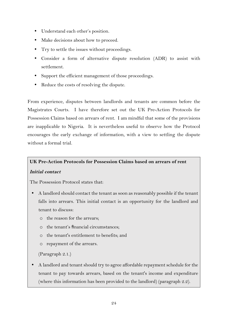- Understand each other's position.
- Make decisions about how to proceed.
- Try to settle the issues without proceedings.
- Consider a form of alternative dispute resolution (ADR) to assist with settlement.
- Support the efficient management of those proceedings.
- Reduce the costs of resolving the dispute.

From experience, disputes between landlords and tenants are common before the Magistrates Courts. I have therefore set out the UK Pre-Action Protocols for Possession Claims based on arrears of rent. I am mindful that some of the provisions are inapplicable to Nigeria. It is nevertheless useful to observe how the Protocol encourages the early exchange of information, with a view to settling the dispute without a formal trial.

## **UK Pre-Action Protocols for Possession Claims based on arrears of rent**

## **Initial contact**

The Possession Protocol states that:

- A landlord should contact the tenant as soon as reasonably possible if the tenant falls into arrears. This initial contact is an opportunity for the landlord and tenant to discuss:
	- o the reason for the arrears;
	- o the tenant's financial circumstances;
	- o the tenant's entitlement to benefits; and
	- o repayment of the arrears.

```
(Paragraph 2.1.)
```
• A landlord and tenant should try to agree affordable repayment schedule for the tenant to pay towards arrears, based on the tenant's income and expenditure (where this information has been provided to the landlord) (paragraph 2.2).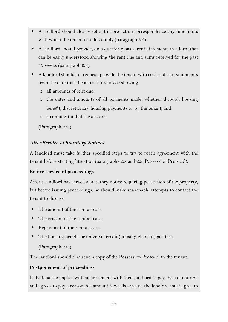- A landlord should clearly set out in pre-action correspondence any time limits with which the tenant should comply (paragraph 2.2).
- A landlord should provide, on a quarterly basis, rent statements in a form that can be easily understood showing the rent due and sums received for the past 13 weeks (paragraph 2.3).
- A landlord should, on request, provide the tenant with copies of rent statements from the date that the arrears first arose showing:
	- o all amounts of rent due;
	- o the dates and amounts of all payments made, whether through housing benefit, discretionary housing payments or by the tenant; and
	- o a running total of the arrears.

(Paragraph 2.3.)

## **After Service of Statutory Notices**

A landlord must take further specified steps to try to reach agreement with the tenant before starting litigation (paragraphs 2.8 and 2.9, Possession Protocol).

## **Before service of proceedings**

After a landlord has served a statutory notice requiring possession of the property, but before issuing proceedings, he should make reasonable attempts to contact the tenant to discuss:

- The amount of the rent arrears.
- The reason for the rent arrears.
- Repayment of the rent arrears.
- The housing benefit or universal credit (housing element) position.

(Paragraph 2.8.)

The landlord should also send a copy of the Possession Protocol to the tenant.

## **Postponement of proceedings**

If the tenant complies with an agreement with their landlord to pay the current rent and agrees to pay a reasonable amount towards arrears, the landlord must agree to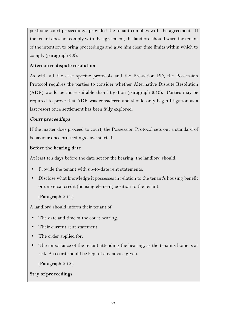postpone court proceedings, provided the tenant complies with the agreement. If the tenant does not comply with the agreement, the landlord should warn the tenant of the intention to bring proceedings and give him clear time limits within which to comply (paragraph 2.9).

# **Alternative dispute resolution**

As with all the case specific protocols and the Pre-action PD, the Possession Protocol requires the parties to consider whether Alternative Dispute Resolution (ADR) would be more suitable than litigation (paragraph 2.10). Parties may be required to prove that ADR was considered and should only begin litigation as a last resort once settlement has been fully explored.

# **Court proceedings**

If the matter does proceed to court, the Possession Protocol sets out a standard of behaviour once proceedings have started.

# **Before the hearing date**

At least ten days before the date set for the hearing, the landlord should:

- Provide the tenant with up-to-date rent statements.
- Disclose what knowledge it possesses in relation to the tenant's housing benefit or universal credit (housing element) position to the tenant.

(Paragraph 2.11.)

A landlord should inform their tenant of:

- The date and time of the court hearing.
- Their current rent statement.
- The order applied for.
- The importance of the tenant attending the hearing, as the tenant's home is at risk. A record should be kept of any advice given.

(Paragraph 2.12.)

# **Stay of proceedings**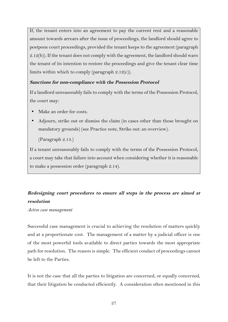If, the tenant enters into an agreement to pay the current rent and a reasonable amount towards arrears after the issue of proceedings, the landlord should agree to postpone court proceedings, provided the tenant keeps to the agreement (paragraph 2.12(b)). If the tenant does not comply with the agreement, the landlord should warn the tenant of its intention to restore the proceedings and give the tenant clear time limits within which to comply (paragraph 2.12(c)).

## **Sanctions for non-compliance with the Possession Protocol**

If a landlord unreasonably fails to comply with the terms of the Possession Protocol, the court may:

- Make an order for costs.
- Adjourn, strike out or dismiss the claim (in cases other than those brought on mandatory grounds) (see Practice note, Strike out: an overview).

(Paragraph 2.13.)

If a tenant unreasonably fails to comply with the terms of the Possession Protocol, a court may take that failure into account when considering whether it is reasonable to make a possession order (paragraph 2.14).

# **Redesigning court procedures to ensure all steps in the process are aimed at resolution**

*Active case management*

Successful case management is crucial to achieving the resolution of matters quickly and at a proportionate cost. The management of a matter by a judicial officer is one of the most powerful tools available to direct parties towards the most appropriate path for resolution. The reason is simple. The efficient conduct of proceedings cannot be left to the Parties.

It is not the case that all the parties to litigation are concerned, or equally concerned, that their litigation be conducted efficiently. A consideration often mentioned in this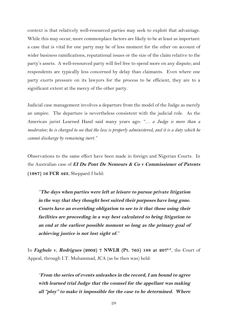context is that relatively well-resourced parties may seek to exploit that advantage. While this may occur, more commonplace factors are likely to be at least as important: a case that is vital for one party may be of less moment for the other on account of wider business ramifications, reputational issues or the size of the claim relative to the party's assets. A well-resourced party will feel free to spend more on any dispute; and respondents are typically less concerned by delay than claimants. Even where one party exerts pressure on its lawyers for the process to be efficient, they are to a significant extent at the mercy of the other party.

Judicial case management involves a departure from the model of the Judge as merely an umpire. The departure is nevertheless consistent with the judicial role. As the American jurist Learned Hand said many years ago: *"… a Judge is more than a moderator; he is charged to see that the law is properly administered, and it is a duty which he cannot discharge by remaining inert."*

Observations to the same effect have been made in foreign and Nigerian Courts. In the Australian case of **EI Du Pont De Nemours & Co v Commissioner of Patents (1987) 16 FCR 423**, Sheppard J held:

*"***The days when parties were left at leisure to pursue private litigation in the way that they thought best suited their purposes have long gone. Courts have an overriding obligation to see to it that those using their facilities are proceeding in a way best calculated to bring litigation to an end at the earliest possible moment so long as the primary goal of achieving justice is not lost sight of.***"*

In **Fagbule v. Rodrigues (2002) 7 NWLR (Pt. 765) 188 at 207E-F**, the Court of Appeal, through I.T. Muhammad, JCA (as he then was) held:

*"***From the series of events unleashes in the record, I am bound to agree with learned trial Judge that the counsel for the appellant was making all "ploy" to make it impossible for the case to be determined. Where**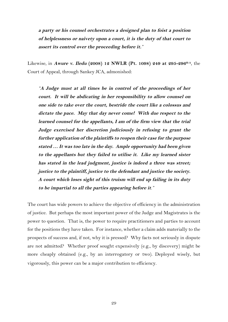**a party or his counsel orchestrates a designed plan to foist a position of helplessness or naivety upon a court, it is the duty of that court to assert its control over the proceeding before it.***"*

Likewise, in **Awure v. Iledu (2008) 12 NWLR (Pt. 1098) 249 at 295-296H-A**, the Court of Appeal, through Sankey JCA, admonished:

*"***A Judge must at all times be in control of the proceedings of her court. It will be abdicating in her responsibility to allow counsel on one side to take over the court, bestride the court like a colossus and dictate the pace. May that day never come! With due respect to the learned counsel for the appellants, I am of the firm view that the trial Judge exercised her discretion judiciously in refusing to grant the further application of the plaintiffs to reopen their case for the purpose stated … It was too late in the day. Ample opportunity had been given to the appellants but they failed to utilise it. Like my learned sister has stated in the lead judgment, justice is indeed a three was street; justice to the plaintiff, justice to the defendant and justice the society. A court which loses sight of this truism will end up failing in its duty to be impartial to all the parties appearing before it***."*

The court has wide powers to achieve the objective of efficiency in the administration of justice. But perhaps the most important power of the Judge and Magistrates is the power to question. That is, the power to require practitioners and parties to account for the positions they have taken. For instance, whether a claim adds materially to the prospects of success and, if not, why it is pressed? Why facts not seriously in dispute are not admitted? Whether proof sought expensively (e.g., by discovery) might be more cheaply obtained (e.g., by an interrogatory or two). Deployed wisely, but vigorously, this power can be a major contribution to efficiency.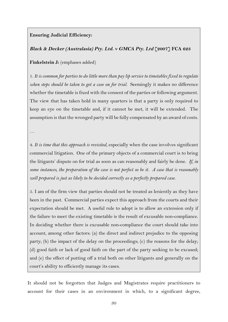## **Ensuring Judicial Efficiency:**

## **Black & Decker (Australasia) Pty. Ltd. v GMCA Pty. Ltd [2007] FCA 623**

**Finkelstein J:** (emphases added)

1. *It is common for parties to do little more than pay lip service to timetables fixed to regulate when steps should be taken to get a case on for trial.* Seemingly it makes no difference whether the timetable is fixed with the consent of the parties or following argument. The view that has taken hold in many quarters is that a party is only required to keep an eye on the timetable and, if it cannot be met, it will be extended. The assumption is that the wronged party will be fully compensated by an award of costs.

…

4. *It is time that this approach is revisited*, especially when the case involves significant commercial litigation. One of the primary objects of a commercial court is to bring the litigants' dispute on for trial as soon as can reasonably and fairly be done. *If, in some instances, the preparation of the case is not perfect so be it. A case that is reasonably well prepared is just as likely to be decided correctly as a perfectly prepared case*.

5. I am of the firm view that parties should not be treated as leniently as they have been in the past. Commercial parties expect this approach from the courts and their expectation should be met. A useful rule to adopt is to allow an extension only if the failure to meet the existing timetable is the result of excusable non-compliance. In deciding whether there is excusable non-compliance the court should take into account, among other factors: (a) the direct and indirect prejudice to the opposing party; (b) the impact of the delay on the proceedings; (c) the reasons for the delay; (d) good faith or lack of good faith on the part of the party seeking to be excused; and (e) the effect of putting off a trial both on other litigants and generally on the court's ability to efficiently manage its cases.

It should not be forgotten that Judges and Magistrates require practitioners to account for their cases in an environment in which, to a significant degree,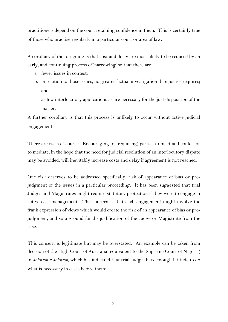practitioners depend on the court retaining confidence in them. This is certainly true of those who practise regularly in a particular court or area of law.

A corollary of the foregoing is that cost and delay are most likely to be reduced by an early, and continuing process of 'narrowing' so that there are:

- a. fewer issues in contest;
- b. in relation to those issues, no greater factual investigation than justice requires; and
- c. as few interlocutory applications as are necessary for the just disposition of the matter.

A further corollary is that this process is unlikely to occur without active judicial engagement.

There are risks of course. Encouraging (or requiring) parties to meet and confer, or to mediate, in the hope that the need for judicial resolution of an interlocutory dispute may be avoided, will inevitably increase costs and delay if agreement is not reached.

One risk deserves to be addressed specifically: risk of appearance of bias or prejudgment of the issues in a particular proceeding. It has been suggested that trial Judges and Magistrates might require statutory protection if they were to engage in active case management. The concern is that such engagement might involve the frank expression of views which would create the risk of an appearance of bias or prejudgment, and so a ground for disqualification of the Judge or Magistrate from the case.

This concern is legitimate but may be overstated. An example can be taken from decision of the High Court of Australia (equivalent to the Supreme Court of Nigeria) in *Johnson v Johnson*, which has indicated that trial Judges have enough latitude to do what is necessary in cases before them: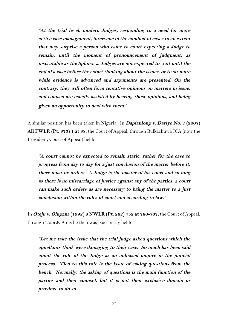*"***At the trial level, modern Judges, responding to a need for more active case management, intervene in the conduct of cases to an extent that may surprise a person who came to court expecting a Judge to remain, until the moment of pronouncement of judgment, as inscrutable as the Sphinx. ... Judges are not expected to wait until the end of a case before they start thinking about the issues, or to sit mute while evidence is advanced and arguments are presented. On the contrary, they will often form tentative opinions on matters in issue, and counsel are usually assisted by hearing those opinions, and being given an opportunity to deal with them.***"*

A similar position has been taken in Nigeria. In **Dapianlong v. Dariye No. 1 (2007) All FWLR (Pt. 373) 1 at 38**, the Court of Appeal, through Bulkachuwa JCA (now the President, Court of Appeal) held:

*"***A court cannot be expected to remain static, rather for the case to progress from day to day for a just conclusion of the matter before it, there must be orders. A Judge is the master of his court and so long as there is no miscarriage of justice against any of the parties, a court can make such orders as are necessary to bring the matter to a just conclusion within the rules of court and according to law.***"*

In **Oteju v. Olugana (1992) 8 NWLR (Pt. 262) 752 at 766-767**, the Court of Appeal, through Tobi JCA (as he then was) succinctly held:

*"***Let me take the issue that the trial judge asked questions which the appellants think were damaging to their case. So much has been said about the role of the Judge as an unbiased umpire in the judicial process. Tied to this tole is the issue of asking questions from the bench. Normally, the asking of questions is the main function of the parties and their counsel, but it is not their exclusive domain or province to do so.**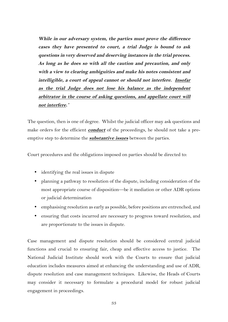**While in our adversary system, the parties must prove the difference cases they have presented to court, a trial Judge is bound to ask questions in very deserved and deserving instances in the trial process. As long as he does so with all the caution and precaution, and only with a view to clearing ambiguities and make his notes consistent and intelligible, a court of appeal cannot or should not interfere. Insofar as the trial Judge does not lose his balance as the independent arbitrator in the course of asking questions, and appellate court will not interfere.***"*

The question, then is one of degree. Whilst the judicial officer may ask questions and make orders for the efficient **conduct** of the proceedings, he should not take a preemptive step to determine the **substantive issues** between the parties.

Court procedures and the obligations imposed on parties should be directed to:

- identifying the real issues in dispute
- planning a pathway to resolution of the dispute, including consideration of the most appropriate course of disposition—be it mediation or other ADR options or judicial determination
- emphasising resolution as early as possible, before positions are entrenched, and
- ensuring that costs incurred are necessary to progress toward resolution, and are proportionate to the issues in dispute.

Case management and dispute resolution should be considered central judicial functions and crucial to ensuring fair, cheap and effective access to justice. The National Judicial Institute should work with the Courts to ensure that judicial education includes measures aimed at enhancing the understanding and use of ADR, dispute resolution and case management techniques. Likewise, the Heads of Courts may consider it necessary to formulate a procedural model for robust judicial engagement in proceedings.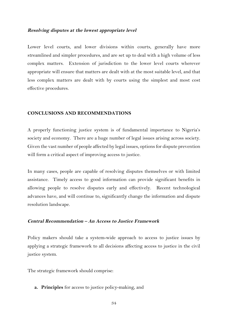#### **Resolving disputes at the lowest appropriate level**

Lower level courts, and lower divisions within courts, generally have more streamlined and simpler procedures, and are set up to deal with a high volume of less complex matters. Extension of jurisdiction to the lower level courts wherever appropriate will ensure that matters are dealt with at the most suitable level, and that less complex matters are dealt with by courts using the simplest and most cost effective procedures.

#### **CONCLUSIONS AND RECOMMENDATIONS**

A properly functioning justice system is of fundamental importance to Nigeria's society and economy. There are a huge number of legal issues arising across society. Given the vast number of people affected by legal issues, options for dispute prevention will form a critical aspect of improving access to justice.

In many cases, people are capable of resolving disputes themselves or with limited assistance. Timely access to good information can provide significant benefits in allowing people to resolve disputes early and effectively. Recent technological advances have, and will continue to, significantly change the information and dispute resolution landscape.

#### **Central Recommendation – An Access to Justice Framework**

Policy makers should take a system-wide approach to access to justice issues by applying a strategic framework to all decisions affecting access to justice in the civil justice system.

The strategic framework should comprise:

**a. Principles** for access to justice policy-making, and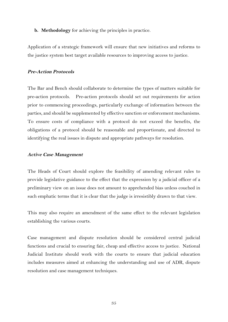#### **b. Methodology** for achieving the principles in practice.

Application of a strategic framework will ensure that new initiatives and reforms to the justice system best target available resources to improving access to justice.

#### **Pre-Action Protocols**

The Bar and Bench should collaborate to determine the types of matters suitable for pre-action protocols. Pre-action protocols should set out requirements for action prior to commencing proceedings, particularly exchange of information between the parties, and should be supplemented by effective sanction or enforcement mechanisms. To ensure costs of compliance with a protocol do not exceed the benefits, the obligations of a protocol should be reasonable and proportionate, and directed to identifying the real issues in dispute and appropriate pathways for resolution.

#### **Active Case Management**

The Heads of Court should explore the feasibility of amending relevant rules to provide legislative guidance to the effect that the expression by a judicial officer of a preliminary view on an issue does not amount to apprehended bias unless couched in such emphatic terms that it is clear that the judge is irresistibly drawn to that view.

This may also require an amendment of the same effect to the relevant legislation establishing the various courts.

Case management and dispute resolution should be considered central judicial functions and crucial to ensuring fair, cheap and effective access to justice. National Judicial Institute should work with the courts to ensure that judicial education includes measures aimed at enhancing the understanding and use of ADR, dispute resolution and case management techniques.